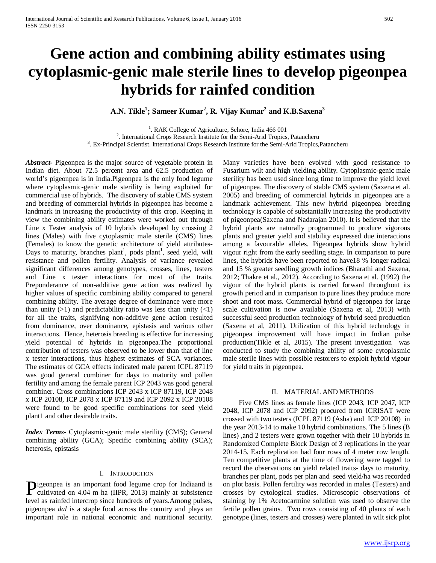# **Gene action and combining ability estimates using cytoplasmic-genic male sterile lines to develop pigeonpea hybrids for rainfed condition**

**A.N. Tikle1 ; Sameer Kumar2 , R. Vijay Kumar2 and K.B.Saxena3**

<sup>1</sup>. RAK College of Agriculture, Sehore, India 466 001 <sup>1</sup>. RAK College of Agriculture, Sehore, India 466 001<br><sup>2</sup> International Crops Besearch Institute for the Semi-Arid Tropics

<sup>2</sup>. International Crops Research Institute for the Semi-Arid Tropics, Patancheru 3 Ex Principal Scientist, International Crops Research Institute for the Semi-Arid Tropics

. Ex-Principal Scientist. International Crops Research Institute for the Semi-Arid Tropics,Patancheru

*Abstract***-** Pigeonpea is the major source of vegetable protein in Indian diet. About 72.5 percent area and 62.5 production of world's pigeonpea is in India.Pigeonpea is the only food legume where cytoplasmic-genic male sterility is being exploited for commercial use of hybrids. The discovery of stable CMS system and breeding of commercial hybrids in pigeonpea has become a landmark in increasing the productivity of this crop. Keeping in view the combining ability estimates were worked out through Line x Tester analysis of 10 hybrids developed by crossing 2 lines (Males) with five cytoplasmic male sterile (CMS) lines (Females) to know the genetic architecture of yield attributes-Days to maturity, branches plant<sup>1</sup>, pods plant<sup>1</sup>, seed yield, wilt resistance and pollen fertility. Analysis of variance revealed significant differences among genotypes, crosses, lines, testers and Line x tester interactions for most of the traits. Preponderance of non-additive gene action was realized by higher values of specific combining ability compared to general combining ability. The average degree of dominance were more than unity  $(>1)$  and predictability ratio was less than unity  $(<1)$ for all the traits, signifying non-additive gene action resulted from dominance, over dominance, epistasis and various other interactions. Hence, heterosis breeding is effective for increasing yield potential of hybrids in pigeonpea.The proportional contribution of testers was observed to be lower than that of line x tester interactions, thus highest estimates of SCA variances. The estimates of GCA effects indicated male parent ICPL 87119 was good general combiner for days to maturity and pollen fertility and among the female parent ICP 2043 was good general combiner. Cross combinations ICP 2043 x ICP 87119, ICP 2048 x ICP 20108, ICP 2078 x ICP 87119 and ICP 2092 x ICP 20108 were found to be good specific combinations for seed yield plant1 and other desirable traits.

*Index Terms*- Cytoplasmic-genic male sterility (CMS); General combining ability (GCA); Specific combining ability (SCA); heterosis, epistasis

## I. INTRODUCTION

igeonpea is an important food legume crop for Indiaand is **P**igeonpea is an important food legume crop for Indiaand is cultivated on 4.04 m ha (IIPR, 2013) mainly at subsistence level as rainfed intercrop since hundreds of years.Among pulses, pigeonpea *dal* is a staple food across the country and plays an important role in national economic and nutritional security.

Many varieties have been evolved with good resistance to Fusarium wilt and high yielding ability. Cytoplasmic-genic male sterility has been used since long time to improve the yield level of pigeonpea. The discovery of stable CMS system (Saxena et al. 2005) and breeding of commercial hybrids in pigeonpea are a landmark achievement. This new hybrid pigeonpea breeding technology is capable of substantially increasing the productivity of pigeonpea(Saxena and Nadarajan 2010). It is believed that the hybrid plants are naturally programmed to produce vigorous plants and greater yield and stability expressed due interactions among a favourable alleles. Pigeonpea hybrids show hybrid vigour right from the early seedling stage. In comparison to pure lines, the hybrids have been reported to have18 % longer radical and 15 % greater seedling growth indices (Bharathi and Saxena, 2012; Thakre et al., 2012). According to Saxena et al. (1992) the vigour of the hybrid plants is carried forward throughout its growth period and in comparison to pure lines they produce more shoot and root mass. Commercial hybrid of pigeonpea for large scale cultivation is now available (Saxena et al, 2013) with successful seed production technology of hybrid seed production (Saxena et al, 2011). Utilization of this hybrid technology in pigeonpea improvement will have impact in Indian pulse production(Tikle et al, 2015). The present investigation was conducted to study the combining ability of some cytoplasmic male sterile lines with possible restorers to exploit hybrid vigour for yield traits in pigeonpea.

## II. MATERIAL AND METHODS

 Five CMS lines as female lines (ICP 2043, ICP 2047, ICP 2048, ICP 2078 and ICP 2092) procured from ICRISAT were crossed with two testers (ICPL 87119 (Asha) and ICP 20108) in the year 2013-14 to make 10 hybrid combinations. The 5 lines (B lines) ,and 2 testers were grown together with their 10 hybrids in Randomized Complete Block Design of 3 replications in the year 2014-15. Each replication had four rows of 4 meter row length. Ten competitive plants at the time of flowering were tagged to record the observations on yield related traits- days to maturity, branches per plant, pods per plan and seed yield/ha was recorded on plot basis. Pollen fertility was recorded in males (Testers) and crosses by cytological studies. Microscopic observations of staining by 1% Acetocarmine solution was used to observe the fertile pollen grains. Two rows consisting of 40 plants of each genotype (lines, testers and crosses) were planted in wilt sick plot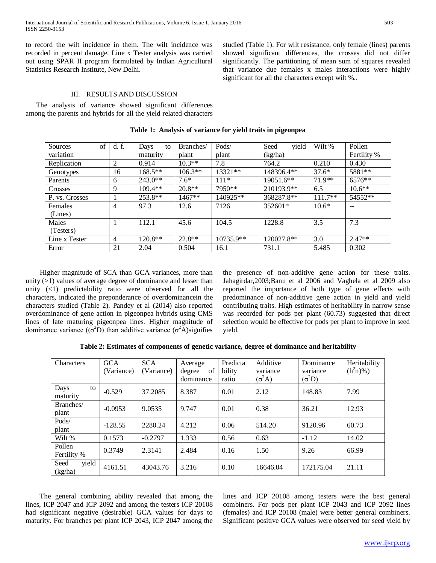to record the wilt incidence in them. The wilt incidence was recorded in percent damage. Line x Tester analysis was carried out using SPAR II program formulated by Indian Agricultural Statistics Research Institute, New Delhi.

studied (Table 1). For wilt resistance, only female (lines) parents showed significant differences, the crosses did not differ significantly. The partitioning of mean sum of squares revealed that variance due females x males interactions were highly significant for all the characters except wilt %..

# III. RESULTS AND DISCUSSION

 The analysis of variance showed significant differences among the parents and hybrids for all the yield related characters

| of<br>Sources  | d. f. | Days<br>to | Branches/ | Pods/       | yield<br>Seed | Wilt %    | Pollen      |
|----------------|-------|------------|-----------|-------------|---------------|-----------|-------------|
| variation      |       | maturity   | plant     | plant       | (kg/ha)       |           | Fertility % |
| Replication    | 2     | 0.914      | $10.3**$  | 7.8         | 764.2         | 0.210     | 0.430       |
| Genotypes      | 16    | $168.5**$  | $106.3**$ | 13321**     | 148396.4**    | $37.6*$   | 5881**      |
| Parents        | 6     | $243.0**$  | $7.6*$    | $111*$      | 19051.6**     | $71.9**$  | $6576**$    |
| Crosses        | 9     | $109.4**$  | $20.8**$  | 7950**      | 210193.9**    | 6.5       | $10.6**$    |
| P. vs. Crosses |       | $253.8**$  | $1467**$  | 140925**    | 368287.8**    | $111.7**$ | 54552**     |
| Females        | 4     | 97.3       | 12.6      | 7126        | 352601*       | $10.6*$   | --          |
| (Lines)        |       |            |           |             |               |           |             |
| Males          |       | 112.1      | 45.6      | 104.5       | 1228.8        | 3.5       | 7.3         |
| (Testers)      |       |            |           |             |               |           |             |
| Line x Tester  | 4     | 120.8**    | $22.8**$  | $10735.9**$ | 120027.8**    | 3.0       | $2.47**$    |
| Error          | 21    | 2.04       | 0.504     | 16.1        | 731.1         | 5.485     | 0.302       |

**Table 1: Analysis of variance for yield traits in pigeonpea**

 Higher magnitude of SCA than GCA variances, more than unity (>1) values of average degree of dominance and lesser than unity (<1) predictability ratio were observed for all the characters, indicated the preponderance of overdominancein the characters studied (Table 2). Pandey et al (2014) also reported overdominance of gene action in pigeonpea hybrids using CMS lines of late maturing pigeonpea lines. Higher magnitude of dominance variance  $((\sigma^2 D)$  than additive variance  $(\sigma^2 A)$ signifies the presence of non-additive gene action for these traits. Jahagirdar,2003;Banu et al 2006 and Vaghela et al 2009 also reported the importance of both type of gene effects with predominance of non-additive gene action in yield and yield contributing traits. High estimates of heritability in narrow sense was recorded for pods per plant (60.73) suggested that direct selection would be effective for pods per plant to improve in seed yield.

| Characters               | <b>GCA</b><br>(Variance) | <b>SCA</b><br>(Variance) | Average<br>οf<br>degree<br>dominance | Predicta<br>bility<br>ratio | Additive<br>variance<br>$(\sigma^2 A)$ | Dominance<br>variance<br>$(\sigma^2 D)$ | Heritability<br>$(h^2n)\%$ ) |
|--------------------------|--------------------------|--------------------------|--------------------------------------|-----------------------------|----------------------------------------|-----------------------------------------|------------------------------|
| Days<br>to<br>maturity   | $-0.529$                 | 37.2085                  | 8.387                                | 0.01                        | 2.12                                   | 148.83                                  | 7.99                         |
| Branches/<br>plant       | $-0.0953$                | 9.0535                   | 9.747                                | 0.01                        | 0.38                                   | 36.21                                   | 12.93                        |
| Pods/<br>plant           | $-128.55$                | 2280.24                  | 4.212                                | 0.06                        | 514.20                                 | 9120.96                                 | 60.73                        |
| Wilt %                   | 0.1573                   | $-0.2797$                | 1.333                                | 0.56                        | 0.63                                   | $-1.12$                                 | 14.02                        |
| Pollen<br>Fertility %    | 0.3749                   | 2.3141                   | 2.484                                | 0.16                        | 1.50                                   | 9.26                                    | 66.99                        |
| Seed<br>yield<br>(kg/ha) | 4161.51                  | 43043.76                 | 3.216                                | 0.10                        | 16646.04                               | 172175.04                               | 21.11                        |

 The general combining ability revealed that among the lines, ICP 2047 and ICP 2092 and among the testers ICP 20108 had significant negative (desirable) GCA values for days to maturity. For branches per plant ICP 2043, ICP 2047 among the

lines and ICP 20108 among testers were the best general combiners. For pods per plant ICP 2043 and ICP 2092 lines (females) and ICP 20108 (male) were better general combiners. Significant positive GCA values were observed for seed yield by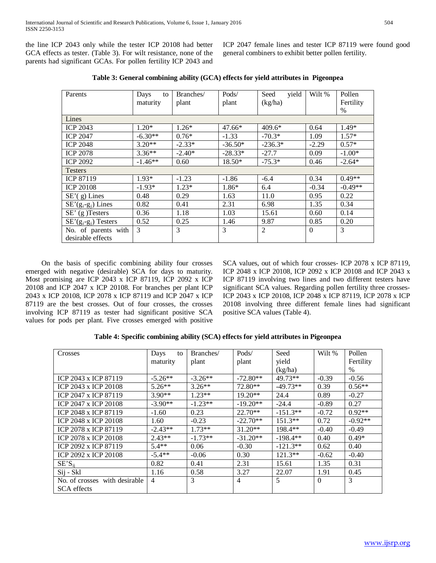the line ICP 2043 only while the tester ICP 20108 had better GCA effects as tester. (Table 3). For wilt resistance, none of the parents had significant GCAs. For pollen fertility ICP 2043 and ICP 2047 female lines and tester ICP 87119 were found good general combiners to exhibit better pollen fertility.

| Parents                | Days<br>to | Branches/ | Pods/     | yield<br>Seed  | Wilt %   | Pollen    |
|------------------------|------------|-----------|-----------|----------------|----------|-----------|
|                        | maturity   | plant     | plant     | (kg/ha)        |          | Fertility |
|                        |            |           |           |                |          | $\%$      |
| Lines                  |            |           |           |                |          |           |
| <b>ICP 2043</b>        | $1.20*$    | $1.26*$   | $47.66*$  | $409.6*$       | 0.64     | $1.49*$   |
| <b>ICP 2047</b>        | $-6.30**$  | $0.76*$   | $-1.33$   | $-70.3*$       | 1.09     | $1.57*$   |
| <b>ICP 2048</b>        | $3.20**$   | $-2.33*$  | $-36.50*$ | $-236.3*$      | $-2.29$  | $0.57*$   |
| <b>ICP 2078</b>        | $3.36**$   | $-2.40*$  | $-28.33*$ | $-27.7$        | 0.09     | $-1.00*$  |
| <b>ICP 2092</b>        | $-1.46**$  | 0.60      | $18.50*$  | $-75.3*$       | 0.46     | $-2.64*$  |
| <b>Testers</b>         |            |           |           |                |          |           |
| <b>ICP 87119</b>       | $1.93*$    | $-1.23$   | $-1.86$   | $-6.4$         | 0.34     | $0.49**$  |
| <b>ICP 20108</b>       | $-1.93*$   | $1.23*$   | $1.86*$   | 6.4            | $-0.34$  | $-0.49**$ |
| $SE'(g)$ Lines         | 0.48       | 0.29      | 1.63      | 11.0           | 0.95     | 0.22      |
| $SE'(g_i-g_i)$ Lines   | 0.82       | 0.41      | 2.31      | 6.98           | 1.35     | 0.34      |
| $SE'$ (g) Testers      | 0.36       | 1.18      | 1.03      | 15.61          | 0.60     | 0.14      |
| $SE'(g_i-g_i)$ Testers | 0.52       | 0.25      | 1.46      | 9.87           | 0.85     | 0.20      |
| No. of parents with    | 3          | 3         | 3         | $\overline{2}$ | $\Omega$ | 3         |
| desirable effects      |            |           |           |                |          |           |

**Table 3: General combining ability (GCA) effects for yield attributes in Pigeonpea**

 On the basis of specific combining ability four crosses emerged with negative (desirable) SCA for days to maturity. Most promising are ICP 2043 x ICP 87119, ICP 2092 x ICP 20108 and ICP 2047 x ICP 20108. For branches per plant ICP 2043 x ICP 20108, ICP 2078 x ICP 87119 and ICP 2047 x ICP 87119 are the best crosses. Out of four crosses, the crosses involving ICP 87119 as tester had significant positive SCA values for pods per plant. Five crosses emerged with positive

SCA values, out of which four crosses- ICP 2078 x ICP 87119, ICP 2048 x ICP 20108, ICP 2092 x ICP 20108 and ICP 2043 x ICP 87119 involving two lines and two different testers have significant SCA values. Regarding pollen fertility three crosses-ICP 2043 x ICP 20108, ICP 2048 x ICP 87119, ICP 2078 x ICP 20108 involving three different female lines had significant positive SCA values (Table 4).

| Crosses                       | Days<br>to     | Branches/ | Pods/          | Seed       | Wilt %   | Pollen    |
|-------------------------------|----------------|-----------|----------------|------------|----------|-----------|
|                               | maturity       | plant     | plant          | yield      |          | Fertility |
|                               |                |           |                | (kg/ha)    |          | $\%$      |
| ICP 2043 x ICP 87119          | $-5.26**$      | $-3.26**$ | $-72.80**$     | 49.73**    | $-0.39$  | $-0.56$   |
| ICP 2043 x ICP 20108          | $5.26**$       | $3.26**$  | 72.80**        | $-49.73**$ | 0.39     | $0.56**$  |
| ICP 2047 x ICP 87119          | $3.90**$       | $1.23**$  | $19.20**$      | 24.4       | 0.89     | $-0.27$   |
| ICP 2047 x ICP 20108          | $-3.90**$      | $-1.23**$ | $-19.20**$     | $-24.4$    | $-0.89$  | 0.27      |
| ICP 2048 x ICP 87119          | $-1.60$        | 0.23      | $22.70**$      | $-151.3**$ | $-0.72$  | $0.92**$  |
| ICP 2048 x ICP 20108          | 1.60           | $-0.23$   | $-22.70**$     | $151.3**$  | 0.72     | $-0.92**$ |
| ICP 2078 x ICP 87119          | $-2.43**$      | $1.73**$  | $31.20**$      | $198.4**$  | $-0.40$  | $-0.49$   |
| ICP 2078 x ICP 20108          | $2.43**$       | $-1.73**$ | $-31.20**$     | $-198.4**$ | 0.40     | $0.49*$   |
| ICP 2092 x ICP 87119          | $5.4**$        | 0.06      | $-0.30$        | $-121.3**$ | 0.62     | 0.40      |
| ICP 2092 x ICP 20108          | $-5.4**$       | $-0.06$   | 0.30           | $121.3**$  | $-0.62$  | $-0.40$   |
| $SE'S_{ii}$                   | 0.82           | 0.41      | 2.31           | 15.61      | 1.35     | 0.31      |
| Sij - Skl                     | 1.16           | 0.58      | 3.27           | 22.07      | 1.91     | 0.45      |
| No. of crosses with desirable | $\overline{4}$ | 3         | $\overline{4}$ | 5          | $\Omega$ | 3         |
| <b>SCA</b> effects            |                |           |                |            |          |           |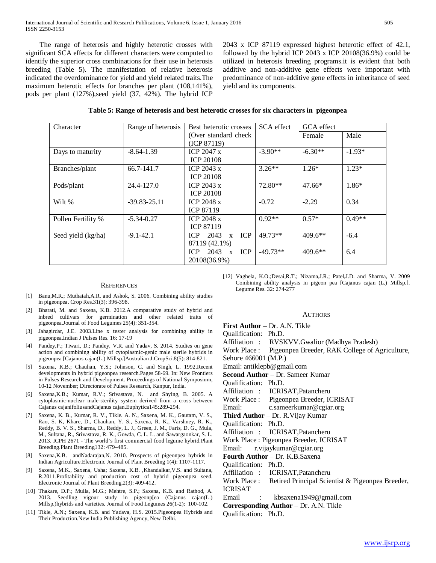The range of heterosis and highly heterotic crosses with significant SCA effects for different characters were computed to identify the superior cross combinations for their use in heterosis breeding (Table 5). The manifestation of relative heterosis indicated the overdominance for yield and yield related traits.The maximum heterotic effects for branches per plant (108,141%), pods per plant (127%),seed yield (37, 42%). The hybrid ICP

2043 x ICP 87119 expressed highest heterotic effect of 42.1, followed by the hybrid ICP 2043 x ICP 20108(36.9%) could be utilized in heterosis breeding programs.it is evident that both additive and non-additive gene effects were important with predominance of non-additive gene effects in inheritance of seed yield and its components.

| Table 5: Range of heterosis and best heterotic crosses for six characters in pigeonpea |  |  |  |  |
|----------------------------------------------------------------------------------------|--|--|--|--|
|                                                                                        |  |  |  |  |

| Character          | Range of heterosis | Best heterotic crosses                    | <b>SCA</b> effect | GCA effect |          |
|--------------------|--------------------|-------------------------------------------|-------------------|------------|----------|
|                    |                    | (Over standard check)                     |                   | Female     | Male     |
|                    |                    | (ICP 87119)                               |                   |            |          |
| Days to maturity   | $-8.64-1.39$       | ICP $2047 \text{ x}$                      | $-3.90**$         | $-6.30**$  | $-1.93*$ |
|                    |                    | <b>ICP 20108</b>                          |                   |            |          |
| Branches/plant     | 66.7-141.7         | ICP $2043 \times$                         | $3.26**$          | $1.26*$    | $1.23*$  |
|                    |                    | <b>ICP 20108</b>                          |                   |            |          |
| Pods/plant         | 24.4-127.0         | ICP $2043 \times$                         | 72.80**           | $47.66*$   | 1.86*    |
|                    |                    | <b>ICP 20108</b>                          |                   |            |          |
| Wilt %             | $-39.83 - 25.11$   | ICP $2048 \text{ x}$                      | $-0.72$           | $-2.29$    | 0.34     |
|                    |                    | <b>ICP 87119</b>                          |                   |            |          |
| Pollen Fertility % | $-5.34 - 0.27$     | <b>ICP 2048 x</b>                         | $0.92**$          | $0.57*$    | $0.49**$ |
|                    |                    | <b>ICP 87119</b>                          |                   |            |          |
| Seed yield (kg/ha) | $-9.1 - 42.1$      | 2043<br>ICP<br><b>ICP</b><br>$\mathbf{x}$ | 49.73**           | $409.6**$  | $-6.4$   |
|                    |                    | 87119 (42.1%)                             |                   |            |          |
|                    |                    | <b>ICP</b><br>ICP<br>2043<br>$\mathbf{x}$ | $-49.73**$        | $409.6**$  | 6.4      |
|                    |                    | 20108(36.9%)                              |                   |            |          |

#### **REFERENCES**

- [1] Banu,M.R.; Muthaiah,A.R. and Ashok, S. 2006. Combining ability studies in pigeonpea. Crop Res.31(3): 396-398.
- [2] Bharati, M. and Saxena, K.B. 2012.A comparative study of hybrid and inbred cultivars for germination and other related traits of pigeonpea.Journal of Food Legumes 25(4): 351-354.
- [3] Jahagirdar, J.E. 2003.Line x tester analysis for combining ability in pigeonpea.Indian J Pulses Res. 16: 17-19
- [4] Pandey,P.; Tiwari, D.; Pandey, V.R. and Yadav, S. 2014. Studies on gene action and combining ability of cytoplasmic-genic male sterile hybrids in pigeonpea [Cajanus cajan(L.) Millsp.]Australian J.CropSci.8(5): 814-821.
- [5] Saxena, K.B.; Chauhan, Y.S.; Johnson, C. and Singh, L. 1992.Recent developments in hybrid pigeonpea research.Pages 58-69. In: New Frontiers in Pulses Research and Development. Proceedings of National Symposium, 10-12 November; Directorate of Pulses Research, Kanpur, India.
- [6] Saxena,K.B.; Kumar, R.V.; Srivastava, N. and Shying, B. 2005. A cytoplasmic-nuclear male-sterility system derived from a cross between Cajanus cajanifoliusandCajanus cajan.Euphytica145:289-294.
- [7] Saxena, K. B., Kumar, R. V., Tikle. A. N., Saxena, M. K., Gautam, V. S., Rao, S. K, Khare, D., Chauhan, Y. S., Saxena, R. K., Varshney, R. K., Reddy, B. V. S., Sharma, D., Reddy, L. J., Green, J. M., Faris, D. G., Mula, M., Sultana, R., Srivastava, R. K., Gowda, C. L. L. and Sawargaonkar, S. L. 2013. ICPH 2671 - The world's first commercial food legume hybrid.Plant Breeding.Plant Breeding132: 479–485.
- [8] Saxena,K.B. andNadarajan,N. 2010. Prospects of pigeonpea hybrids in Indian Agriculture.Electronic Journal of Plant Breeding 1(4): 1107-1117.
- Saxena, M.K., Saxena, Usha; Saxena, K.B. ,Khandalkar,V.S. and Sultana, R.2011.Profitability and production cost of hybrid pigeonpea seed. Electronic Journal of Plant Breeding,2(3): 409-412.
- [10] Thakare, D.P.; Mulla, M.G.; Mehtre, S.P.; Saxena, K.B. and Rathod, A. 2013. Seedling vigour study in pigeonp[ea (Cajanus cajan(L.) Millsp.)hybrids and varieties. Journal of Food Legumes 26(1-2): 100-102.
- [11] Tikle, A.N.; Saxena, K.B. and Yadava, H.S. 2015.Pigeonpea Hybrids and Their Production.New India Publishing Agency, New Delhi.

[12] Vaghela, K.O.;Desai,R.T.; Nizama,J.R.; Patel,J.D. and Sharma, V. 2009 Combining ability analysis in pigeon pea [Cajanus cajan (L.) Millsp.]. Legume Res. 32: 274-277

### **AUTHORS**

**First Author** – Dr. A.N. Tikle

Qualification: Ph.D.

Affiliation : RVSKVV.Gwalior (Madhya Pradesh)

Work Place : Pigeonpea Breeder, RAK College of Agriculture,

Sehore 466001 (M.P.)

Email: antiklepb@gmail.com

**Second Author** – Dr. Sameer Kumar

Qualification: Ph.D.

- Affiliation : ICRISAT,Patancheru
- Work Place : Pigeonpea Breeder, ICRISAT
- Email: c.sameerkumar@cgiar.org

**Third Author** – Dr. R.Vijay Kumar

Qualification: Ph.D.

Affiliation : ICRISAT,Patancheru

Work Place : Pigeonpea Breeder, ICRISAT

Email: r.vijaykumar@cgiar.org

**Fourth Author** – Dr. K.B.Saxena

Qualification: Ph.D.

Affiliation : ICRISAT,Patancheru

Work Place : Retired Principal Scientist & Pigeonpea Breeder, ICRISAT

Email : kbsaxena1949@gmail.com

**Corresponding Author** – Dr. A.N. Tikle

Qualification: Ph.D.